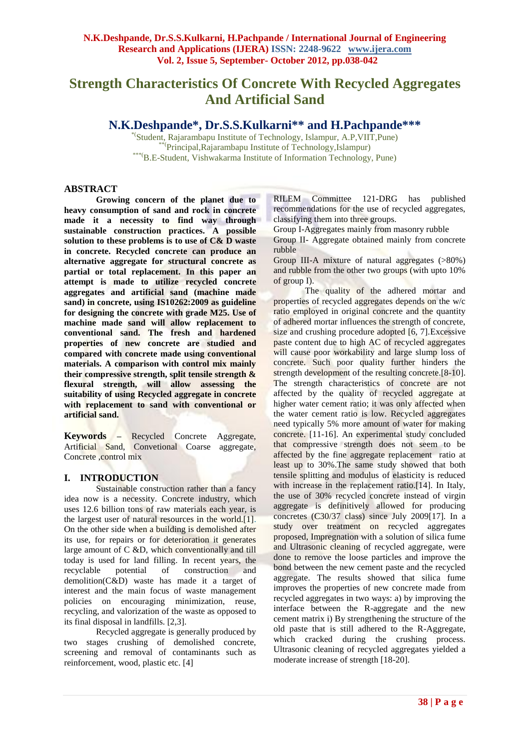## **Strength Characteristics Of Concrete With Recycled Aggregates And Artificial Sand**

**N.K.Deshpande\*, Dr.S.S.Kulkarni\*\* and H.Pachpande\*\*\***

\*(Student, Rajarambapu Institute of Technology, Islampur, A.P,VIIT,Pune) \*\*(Principal,Rajarambapu Institute of Technology,Islampur) \*\*\*(B.E-Student, Vishwakarma Institute of Information Technology, Pune)

#### **ABSTRACT**

**Growing concern of the planet due to heavy consumption of sand and rock in concrete made it a necessity to find way through sustainable construction practices. A possible solution to these problems is to use of C& D waste in concrete. Recycled concrete can produce an alternative aggregate for structural concrete as partial or total replacement. In this paper an attempt is made to utilize recycled concrete aggregates and artificial sand (machine made sand) in concrete, using IS10262:2009 as guideline for designing the concrete with grade M25. Use of machine made sand will allow replacement to conventional sand. The fresh and hardened properties of new concrete are studied and compared with concrete made using conventional materials. A comparison with control mix mainly their compressive strength, split tensile strength & flexural strength, will allow assessing the suitability of using Recycled aggregate in concrete with replacement to sand with conventional or artificial sand.**

**Keywords –** Recycled Concrete Aggregate, Artificial Sand, Convetional Coarse aggregate, Concrete ,control mix

#### **I. INTRODUCTION**

Sustainable construction rather than a fancy idea now is a necessity. Concrete industry, which uses 12.6 billion tons of raw materials each year, is the largest user of natural resources in the world.[1]. On the other side when a building is demolished after its use, for repairs or for deterioration it generates large amount of C &D, which conventionally and till today is used for land filling. In recent years, the recyclable potential of construction and recyclable potential of construction and demolition(C&D) waste has made it a target of interest and the main focus of waste management policies on encouraging minimization, reuse, recycling, and valorization of the waste as opposed to its final disposal in landfills. [2,3].

Recycled aggregate is generally produced by two stages crushing of demolished concrete, screening and removal of contaminants such as reinforcement, wood, plastic etc. [4]

RILEM Committee 121-DRG has published recommendations for the use of recycled aggregates, classifying them into three groups.

Group I-Aggregates mainly from masonry rubble

Group II- Aggregate obtained mainly from concrete rubble

Group III-A mixture of natural aggregates (>80%) and rubble from the other two groups (with upto 10% of group I).

The quality of the adhered mortar and properties of recycled aggregates depends on the w/c ratio employed in original concrete and the quantity of adhered mortar influences the strength of concrete, size and crushing procedure adopted [6, 7]. Excessive paste content due to high AC of recycled aggregates will cause poor workability and large slump loss of concrete. Such poor quality further hinders the strength development of the resulting concrete.[8-10]. The strength characteristics of concrete are not affected by the quality of recycled aggregate at higher water cement ratio; it was only affected when the water cement ratio is low. Recycled aggregates need typically 5% more amount of water for making concrete. [11-16]. An experimental study concluded that compressive strength does not seem to be affected by the fine aggregate replacement ratio at least up to 30%.The same study showed that both tensile splitting and modulus of elasticity is reduced with increase in the replacement ratio.<sup>[14]</sup>. In Italy, the use of 30% recycled concrete instead of virgin aggregate is definitively allowed for producing concretes (C30/37 class) since July 2009[17]. In a study over treatment on recycled aggregates proposed, Impregnation with a solution of silica fume and Ultrasonic cleaning of recycled aggregate, were done to remove the loose particles and improve the bond between the new cement paste and the recycled aggregate. The results showed that silica fume improves the properties of new concrete made from recycled aggregates in two ways: a) by improving the interface between the R-aggregate and the new cement matrix i) By strengthening the structure of the old paste that is still adhered to the R-Aggregate, which cracked during the crushing process. Ultrasonic cleaning of recycled aggregates yielded a moderate increase of strength [18-20].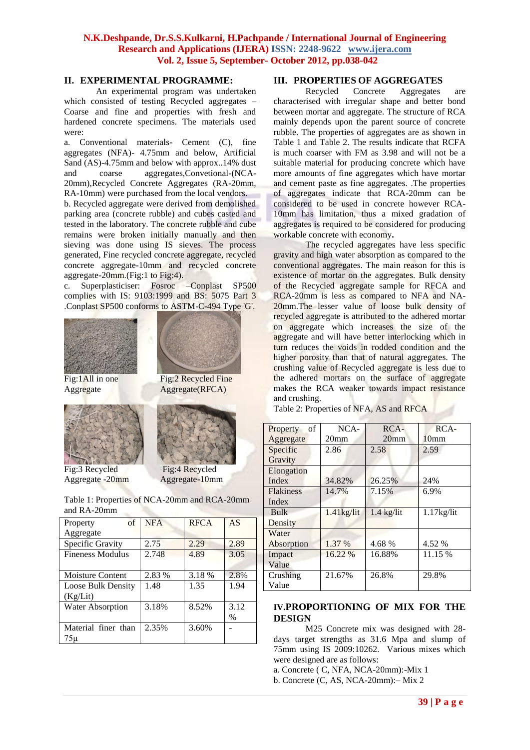#### **II. EXPERIMENTAL PROGRAMME:**

An experimental program was undertaken which consisted of testing Recycled aggregates – Coarse and fine and properties with fresh and hardened concrete specimens. The materials used were:

a. Conventional materials- Cement (C), fine aggregates (NFA)- 4.75mm and below, Artificial Sand (AS)-4.75mm and below with approx..14% dust and coarse aggregates,Convetional-(NCA-20mm),Recycled Concrete Aggregates (RA-20mm, RA-10mm) were purchased from the local vendors*.* b. Recycled aggregate were derived from demolished parking area (concrete rubble) and cubes casted and tested in the laboratory. The concrete rubble and cube remains were broken initially manually and then sieving was done using IS sieves. The process generated, Fine recycled concrete aggregate, recycled concrete aggregate-10mm and recycled concrete aggregate-20mm.(Fig:1 to Fig:4).

c. Superplasticiser: Fosroc –Conplast SP500 complies with IS: 9103:1999 and BS: 5075 Part 3 .Conplast SP500 conforms to ASTM-C-494 Type 'G'.





Fig:1All in one Fig:2 Recycled Fine Aggregate Aggregate(RFCA)



Fig:3 Recycled Fig:4 Recycled Aggregate -20mm Aggregate-10mm



| Table 1: Properties of NCA-20mm and RCA-20mm |
|----------------------------------------------|
| and RA-20mm                                  |

| $\sigma$ f<br>Property    | <b>NFA</b> | <b>RFCA</b> | AS   |
|---------------------------|------------|-------------|------|
| Aggregate                 |            |             |      |
| Specific Gravity          | 2.75       | 2.29        | 2.89 |
| <b>Fineness Modulus</b>   | 2.748      | 4.89        | 3.05 |
|                           |            |             |      |
| Moisture Content          | 2.83 %     | 3.18 %      | 2.8% |
| <b>Loose Bulk Density</b> | 1.48       | 1.35        | 1.94 |
| (Kg/Lit)                  |            |             |      |
| <b>Water Absorption</b>   | 3.18%      | 8.52%       | 3.12 |
|                           |            |             | $\%$ |
| Material finer than       | 2.35%      | 3.60%       |      |
| 75 µ                      |            |             |      |

# **III. PROPERTIES OF AGGREGATES**

Recycled Concrete Aggregates are characterised with irregular shape and better bond between mortar and aggregate. The structure of RCA mainly depends upon the parent source of concrete rubble. The properties of aggregates are as shown in Table 1 and Table 2. The results indicate that RCFA is much coarser with FM as 3.98 and will not be a suitable material for producing concrete which have more amounts of fine aggregates which have mortar and cement paste as fine aggregates. .The properties of aggregates indicate that RCA-20mm can be considered to be used in concrete however RCA-10mm has limitation, thus a mixed gradation of aggregates is required to be considered for producing workable concrete with economy**.**

The recycled aggregates have less specific gravity and high water absorption as compared to the conventional aggregates. The main reason for this is existence of mortar on the aggregates. Bulk density of the Recycled aggregate sample for RFCA and RCA-20mm is less as compared to NFA and NA-20mm.The lesser value of loose bulk density of recycled aggregate is attributed to the adhered mortar on aggregate which increases the size of the aggregate and will have better interlocking which in turn reduces the voids in rodded condition and the higher porosity than that of natural aggregates. The crushing value of Recycled aggregate is less due to the adhered mortars on the surface of aggregate makes the RCA weaker towards impact resistance and crushing.

Table 2: Properties of NFA, AS and RFCA

| of<br>Property   | NCA-             | RCA-             | RCA-             |
|------------------|------------------|------------------|------------------|
| Aggregate        | 20 <sub>mm</sub> | 20 <sub>mm</sub> | 10 <sub>mm</sub> |
| Specific         | 2.86             | 2.58             | 2.59             |
| Gravity          |                  |                  |                  |
| Elongation       |                  |                  |                  |
| Index            | 34.82%           | 26.25%           | 24%              |
| <b>Flakiness</b> | 14.7%            | 7.15%            | 6.9%             |
| Index            |                  |                  |                  |
| Bulk             | $1.41$ kg/lit    | $1.4$ kg/lit     | $1.17$ kg/lit    |
| Density          |                  |                  |                  |
| Water            |                  |                  |                  |
| Absorption       | 1.37 %           | 4.68 %           | 4.52 %           |
| Impact           | 16.22 %          | 16.88%           | 11.15 %          |
| Value            |                  |                  |                  |
| Crushing         | 21.67%           | 26.8%            | 29.8%            |
| Value            |                  |                  |                  |

#### **IV.PROPORTIONING OF MIX FOR THE DESIGN**

M25 Concrete mix was designed with 28 days target strengths as 31.6 Mpa and slump of 75mm using IS 2009:10262. Various mixes which were designed are as follows:

a. Concrete ( C, NFA, NCA-20mm):-Mix 1

b. Concrete (C, AS, NCA-20mm):– Mix 2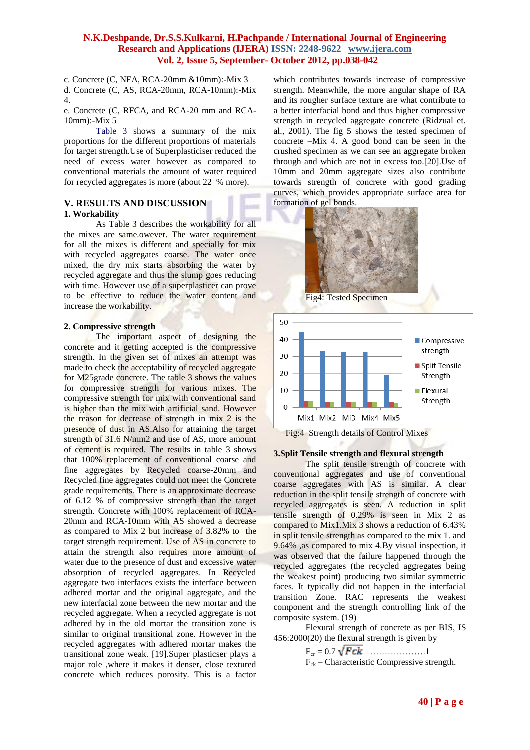c. Concrete (C, NFA, RCA-20mm &10mm):-Mix 3

d. Concrete (C, AS, RCA-20mm, RCA-10mm):-Mix 4.

e. Concrete (C, RFCA, and RCA-20 mm and RCA-10mm):-Mix 5

Table 3 shows a summary of the mix proportions for the different proportions of materials for target strength.Use of Superplasticiser reduced the need of excess water however as compared to conventional materials the amount of water required for recycled aggregates is more (about 22 % more).

### **V. RESULTS AND DISCUSSION**

#### **1. Workability**

As Table 3 describes the workability for all the mixes are same.owever. The water requirement for all the mixes is different and specially for mix with recycled aggregates coarse. The water once mixed, the dry mix starts absorbing the water by recycled aggregate and thus the slump goes reducing with time. However use of a superplasticer can prove to be effective to reduce the water content and increase the workability.

#### **2. Compressive strength**

The important aspect of designing the concrete and it getting accepted is the compressive strength. In the given set of mixes an attempt was made to check the acceptability of recycled aggregate for M25grade concrete. The table 3 shows the values for compressive strength for various mixes. The compressive strength for mix with conventional sand is higher than the mix with artificial sand. However the reason for decrease of strength in mix 2 is the presence of dust in AS.Also for attaining the target strength of 31.6 N/mm2 and use of AS, more amount of cement is required. The results in table 3 shows that 100% replacement of conventional coarse and fine aggregates by Recycled coarse-20mm and Recycled fine aggregates could not meet the Concrete grade requirements. There is an approximate decrease of 6.12 % of compressive strength than the target strength. Concrete with 100% replacement of RCA-20mm and RCA-10mm with AS showed a decrease as compared to Mix 2 but increase of 3.82% to the target strength requirement. Use of AS in concrete to attain the strength also requires more amount of water due to the presence of dust and excessive water absorption of recycled aggregates. In Recycled aggregate two interfaces exists the interface between adhered mortar and the original aggregate, and the new interfacial zone between the new mortar and the recycled aggregate. When a recycled aggregate is not adhered by in the old mortar the transition zone is similar to original transitional zone. However in the recycled aggregates with adhered mortar makes the transitional zone weak. [19].Super plasticser plays a major role ,where it makes it denser, close textured concrete which reduces porosity. This is a factor

which contributes towards increase of compressive strength. Meanwhile, the more angular shape of RA and its rougher surface texture are what contribute to a better interfacial bond and thus higher compressive strength in recycled aggregate concrete (Ridzual et. al., 2001). The fig 5 shows the tested specimen of concrete –Mix 4. A good bond can be seen in the crushed specimen as we can see an aggregate broken through and which are not in excess too.[20].Use of 10mm and 20mm aggregate sizes also contribute towards strength of concrete with good grading curves, which provides appropriate surface area for formation of gel bonds.



Fig4: Tested Specimen



#### **3.Split Tensile strength and flexural strength**

The split tensile strength of concrete with conventional aggregates and use of conventional coarse aggregates with AS is similar. A clear reduction in the split tensile strength of concrete with recycled aggregates is seen. A reduction in split tensile strength of 0.29% is seen in Mix 2 as compared to Mix1.Mix 3 shows a reduction of 6.43% in split tensile strength as compared to the mix 1. and 9.64% ,as compared to mix 4.By visual inspection, it was observed that the failure happened through the recycled aggregates (the recycled aggregates being the weakest point) producing two similar symmetric faces. It typically did not happen in the interfacial transition Zone. RAC represents the weakest component and the strength controlling link of the composite system. (19)

Flexural strength of concrete as per BIS, IS 456:2000(20) the flexural strength is given by

> Fcr = 0.7 ……………….1  $F_{ck}$  – Characteristic Compressive strength.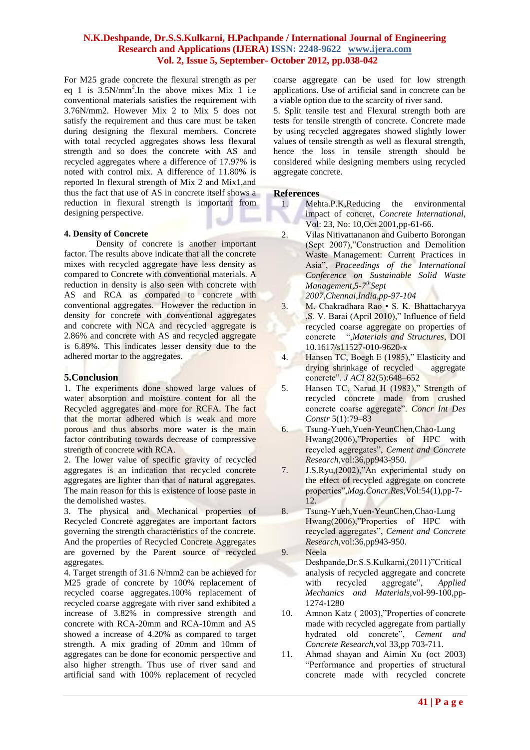For M25 grade concrete the flexural strength as per eq 1 is  $3.5N/mm^2$ . In the above mixes Mix 1 i.e conventional materials satisfies the requirement with 3.76N/mm2. However Mix 2 to Mix 5 does not satisfy the requirement and thus care must be taken during designing the flexural members. Concrete with total recycled aggregates shows less flexural strength and so does the concrete with AS and recycled aggregates where a difference of 17.97% is noted with control mix. A difference of 11.80% is reported In flexural strength of Mix 2 and Mix1,and thus the fact that use of AS in concrete itself shows a reduction in flexural strength is important from designing perspective.

#### **4. Density of Concrete**

Density of concrete is another important factor. The results above indicate that all the concrete mixes with recycled aggregate have less density as compared to Concrete with conventional materials. A reduction in density is also seen with concrete with AS and RCA as compared to concrete with conventional aggregates. However the reduction in density for concrete with conventional aggregates and concrete with NCA and recycled aggregate is 2.86% and concrete with AS and recycled aggregate is 6.89%. This indicates lesser density due to the adhered mortar to the aggregates.

#### **5.Conclusion**

1. The experiments done showed large values of water absorption and moisture content for all the Recycled aggregates and more for RCFA. The fact that the mortar adhered which is weak and more porous and thus absorbs more water is the main factor contributing towards decrease of compressive strength of concrete with RCA.

2. The lower value of specific gravity of recycled aggregates is an indication that recycled concrete aggregates are lighter than that of natural aggregates. The main reason for this is existence of loose paste in the demolished wastes.

3. The physical and Mechanical properties of Recycled Concrete aggregates are important factors governing the strength characteristics of the concrete. And the properties of Recycled Concrete Aggregates are governed by the Parent source of recycled aggregates.

4. Target strength of 31.6 N/mm2 can be achieved for M25 grade of concrete by 100% replacement of recycled coarse aggregates.100% replacement of recycled coarse aggregate with river sand exhibited a increase of 3.82% in compressive strength and concrete with RCA-20mm and RCA-10mm and AS showed a increase of 4.20% as compared to target strength. A mix grading of 20mm and 10mm of aggregates can be done for economic perspective and also higher strength. Thus use of river sand and artificial sand with 100% replacement of recycled

coarse aggregate can be used for low strength applications. Use of artificial sand in concrete can be a viable option due to the scarcity of river sand.

5. Split tensile test and Flexural strength both are tests for tensile strength of concrete. Concrete made by using recycled aggregates showed slightly lower values of tensile strength as well as flexural strength, hence the loss in tensile strength should be considered while designing members using recycled aggregate concrete.

#### **References**

- 1. Mehta.P.K,Reducing the environmental impact of concret, *Concrete International*, Vol: 23, No: 10,Oct 2001,pp-61-66.
- 2. Vilas Nitivattananon and Guiberto Borongan (Sept 2007),"Construction and Demolition Waste Management: Current Practices in Asia", *Proceedings of the International Conference on Sustainable Solid Waste Management,5-7 thSept 2007,Chennai,India,pp-97-104*
- 3. M. Chakradhara Rao S. K. Bhattacharyya ,S. V. Barai (April 2010)," Influence of field recycled coarse aggregate on properties of concrete ",*Materials and Structures*, DOI 10.1617/s11527-010-9620-x
- 4. Hansen TC, Boegh E (1985)," Elasticity and drying shrinkage of recycled aggregate concrete". *J ACI* 82(5):648–652
- 5. Hansen TC, Narud H (1983)," Strength of recycled concrete made from crushed concrete coarse aggregate". *Concr Int Des Constr* 5(1):79–83
- 6. Tsung-Yueh,Yuen-YeunChen,Chao-Lung Hwang(2006),"Properties of HPC with recycled aggregates", *Cement and Concrete Research*,vol:36,pp943-950.
- 7. J.S.Ryu,(2002),"An experimental study on the effect of recycled aggregate on concrete properties",*Mag.Concr.Res*,Vol:54(1),pp-7- 12.
- 8. Tsung-Yueh,Yuen-YeunChen,Chao-Lung Hwang(2006),"Properties of HPC with recycled aggregates", *Cement and Concrete Research*,vol:36,pp943-950.
- 9. Neela Deshpande,Dr.S.S.Kulkarni,(2011)"Critical analysis of recycled aggregate and concrete with recycled aggregate", *Applied Mechanics and Materials*,vol-99-100,pp-1274-1280
- 10. Amnon Katz ( 2003),"Properties of concrete made with recycled aggregate from partially hydrated old concrete", *Cement and Concrete Research*,vol 33,pp 703-711.
- 11. Ahmad shayan and Aimin Xu (oct 2003) "Performance and properties of structural concrete made with recycled concrete